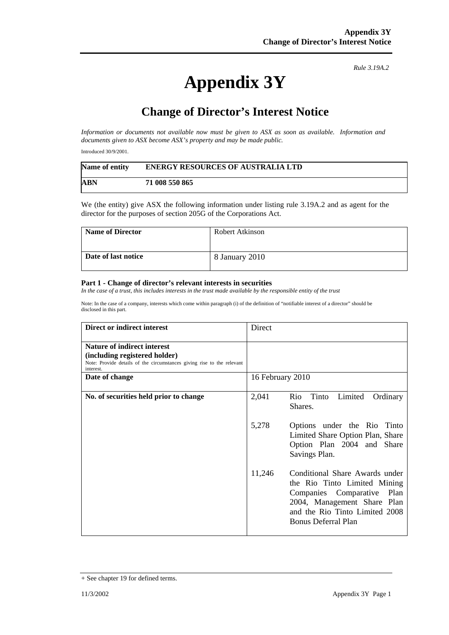## **Appendix 3Y**

*Rule 3.19A.2*

## **Change of Director's Interest Notice**

*Information or documents not available now must be given to ASX as soon as available. Information and documents given to ASX become ASX's property and may be made public.* 

Introduced 30/9/2001.

| Name of entity | <b>ENERGY RESOURCES OF AUSTRALIA LTD</b> |
|----------------|------------------------------------------|
| ABN            | 71 008 550 865                           |

We (the entity) give ASX the following information under listing rule 3.19A.2 and as agent for the director for the purposes of section 205G of the Corporations Act.

| <b>Name of Director</b> | Robert Atkinson |
|-------------------------|-----------------|
| Date of last notice     | 8 January 2010  |

## **Part 1 - Change of director's relevant interests in securities**

*In the case of a trust, this includes interests in the trust made available by the responsible entity of the trust* 

Note: In the case of a company, interests which come within paragraph (i) of the definition of "notifiable interest of a director" should be disclosed in this part.

| Direct or indirect interest                                                                                                                                | Direct           |                                                                                                                                                                                                |
|------------------------------------------------------------------------------------------------------------------------------------------------------------|------------------|------------------------------------------------------------------------------------------------------------------------------------------------------------------------------------------------|
| <b>Nature of indirect interest</b><br>(including registered holder)<br>Note: Provide details of the circumstances giving rise to the relevant<br>interest. |                  |                                                                                                                                                                                                |
| Date of change                                                                                                                                             | 16 February 2010 |                                                                                                                                                                                                |
| No. of securities held prior to change                                                                                                                     | 2,041            | Rio Tinto<br>Limited<br>Ordinary<br>Shares.                                                                                                                                                    |
|                                                                                                                                                            | 5,278            | Options under the Rio Tinto<br>Limited Share Option Plan, Share<br>Option Plan 2004 and Share<br>Savings Plan.                                                                                 |
|                                                                                                                                                            | 11,246           | Conditional Share Awards under<br>the Rio Tinto Limited Mining<br>Companies Comparative<br>Plan<br>2004, Management Share Plan<br>and the Rio Tinto Limited 2008<br><b>Bonus Deferral Plan</b> |

<sup>+</sup> See chapter 19 for defined terms.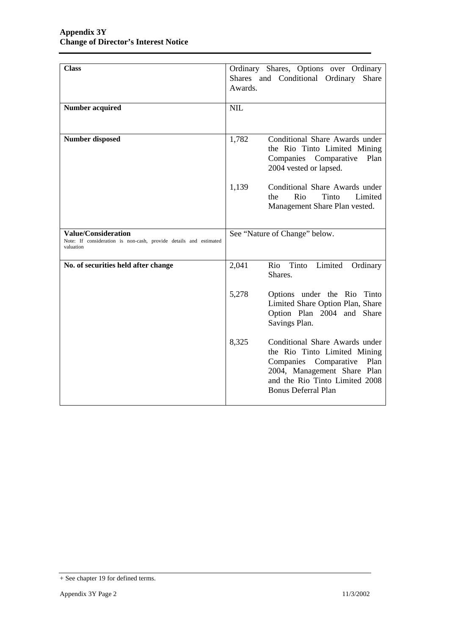| <b>Class</b>                                                                                                 | Awards.    | Ordinary Shares, Options over Ordinary<br>Shares and Conditional Ordinary<br>Share                                                                                                             |
|--------------------------------------------------------------------------------------------------------------|------------|------------------------------------------------------------------------------------------------------------------------------------------------------------------------------------------------|
| <b>Number acquired</b>                                                                                       | <b>NIL</b> |                                                                                                                                                                                                |
| Number disposed                                                                                              | 1,782      | Conditional Share Awards under<br>the Rio Tinto Limited Mining<br>Companies Comparative<br>Plan<br>2004 vested or lapsed.                                                                      |
|                                                                                                              | 1,139      | Conditional Share Awards under<br>Rio<br>Limited<br>Tinto<br>the<br>Management Share Plan vested.                                                                                              |
| <b>Value/Consideration</b><br>Note: If consideration is non-cash, provide details and estimated<br>valuation |            | See "Nature of Change" below.                                                                                                                                                                  |
| No. of securities held after change                                                                          | 2,041      | Limited<br>Tinto<br>Rio<br>Ordinary<br>Shares.                                                                                                                                                 |
|                                                                                                              | 5,278      | Options under the Rio Tinto<br>Limited Share Option Plan, Share<br>Option Plan 2004 and Share<br>Savings Plan.                                                                                 |
|                                                                                                              | 8,325      | Conditional Share Awards under<br>the Rio Tinto Limited Mining<br>Companies Comparative<br>Plan<br>2004, Management Share Plan<br>and the Rio Tinto Limited 2008<br><b>Bonus Deferral Plan</b> |

<sup>+</sup> See chapter 19 for defined terms.